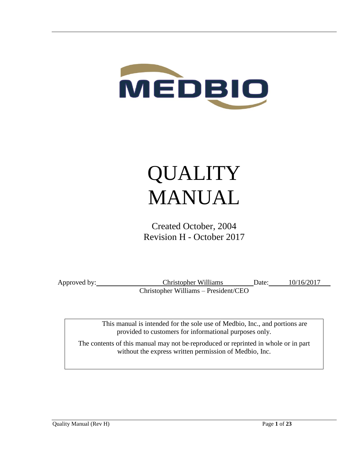

# QUALITY MANUAL

Created October, 2004 Revision H - October 2017

Approved by: Christopher Williams Date: 10/16/2017 Christopher Williams – President/CEO

> This manual is intended for the sole use of Medbio, Inc., and portions are provided to customers for informational purposes only.

The contents of this manual may not be reproduced or reprinted in whole or in part without the express written permission of Medbio, Inc.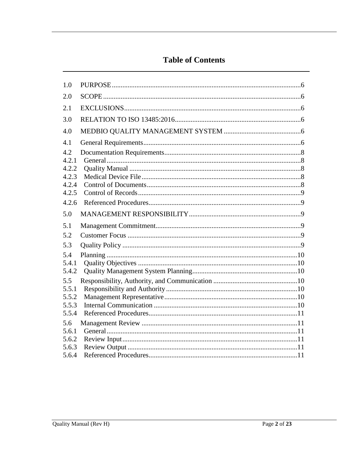## **Table of Contents**

| 1.0            |  |
|----------------|--|
| 2.0            |  |
| 2.1            |  |
| 3.0            |  |
| 4.0            |  |
| 4.1            |  |
| 4.2            |  |
| 4.2.1<br>4.2.2 |  |
| 4.2.3          |  |
| 4.2.4          |  |
| 4.2.5<br>4.2.6 |  |
|                |  |
| 5.0            |  |
|                |  |
| 5.1            |  |
| 5.2            |  |
| 5.3            |  |
| 5.4            |  |
| 5.4.1          |  |
| 5.4.2          |  |
| 5.5            |  |
| 5.5.1          |  |
| 5.5.2          |  |
| 5.5.3          |  |
| 5.5.4          |  |
| 5.6            |  |
| 5.6.1          |  |
| 5.6.2          |  |
| 5.6.3<br>5.6.4 |  |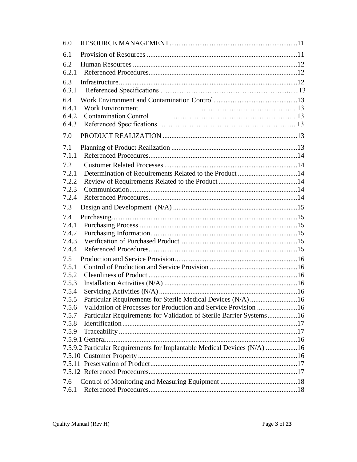| 6.0   |                                                                          |  |
|-------|--------------------------------------------------------------------------|--|
| 6.1   |                                                                          |  |
| 6.2   |                                                                          |  |
| 6.2.1 |                                                                          |  |
| 6.3   |                                                                          |  |
| 6.3.1 |                                                                          |  |
| 6.4   |                                                                          |  |
| 6.4.1 | <b>Work Environment</b>                                                  |  |
| 6.4.2 | <b>Contamination Control</b>                                             |  |
| 6.4.3 |                                                                          |  |
| 7.0   |                                                                          |  |
| 7.1   |                                                                          |  |
| 7.1.1 |                                                                          |  |
| 7.2   |                                                                          |  |
| 7.2.1 | Determination of Requirements Related to the Product 14                  |  |
| 7.2.2 |                                                                          |  |
| 7.2.3 |                                                                          |  |
| 7.2.4 |                                                                          |  |
| 7.3   |                                                                          |  |
| 7.4   |                                                                          |  |
| 7.4.1 |                                                                          |  |
| 7.4.2 |                                                                          |  |
| 7.4.3 |                                                                          |  |
| 7.4.4 |                                                                          |  |
| 7.5   |                                                                          |  |
| 7.5.1 |                                                                          |  |
| 7.5.2 |                                                                          |  |
| 7.5.3 |                                                                          |  |
| 7.5.4 |                                                                          |  |
| 7.5.5 | Particular Requirements for Sterile Medical Devices (N/A) 16             |  |
| 7.5.6 | Validation of Processes for Production and Service Provision 16          |  |
| 7.5.7 | Particular Requirements for Validation of Sterile Barrier Systems16      |  |
| 7.5.8 |                                                                          |  |
| 7.5.9 |                                                                          |  |
|       |                                                                          |  |
|       | 7.5.9.2 Particular Requirements for Implantable Medical Devices (N/A) 16 |  |
|       |                                                                          |  |
|       |                                                                          |  |
|       |                                                                          |  |
| 7.6   |                                                                          |  |
| 7.6.1 |                                                                          |  |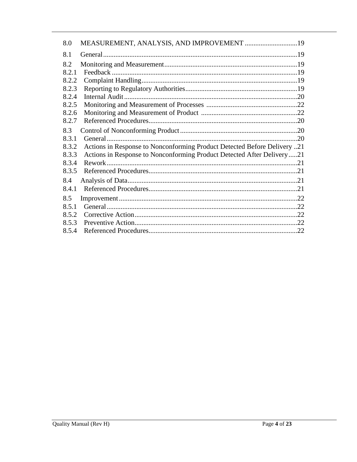| 8.0   |                                                                           |     |
|-------|---------------------------------------------------------------------------|-----|
| 8.1   |                                                                           |     |
| 8.2   |                                                                           |     |
| 8.2.1 |                                                                           |     |
| 8.2.2 |                                                                           |     |
| 8.2.3 |                                                                           |     |
| 8.2.4 |                                                                           |     |
| 8.2.5 |                                                                           |     |
| 8.2.6 |                                                                           |     |
| 8.2.7 |                                                                           |     |
| 8.3   |                                                                           |     |
| 8.3.1 | General.                                                                  | .20 |
| 8.3.2 | 21. Actions in Response to Nonconforming Product Detected Before Delivery |     |
| 8.3.3 | Actions in Response to Nonconforming Product Detected After Delivery21    |     |
| 8.3.4 |                                                                           |     |
| 8.3.5 |                                                                           |     |
| 8.4   |                                                                           |     |
| 8.4.1 |                                                                           |     |
| 8.5   |                                                                           |     |
| 8.5.1 |                                                                           |     |
| 8.5.2 |                                                                           |     |
| 8.5.3 |                                                                           |     |
| 8.5.4 |                                                                           | .22 |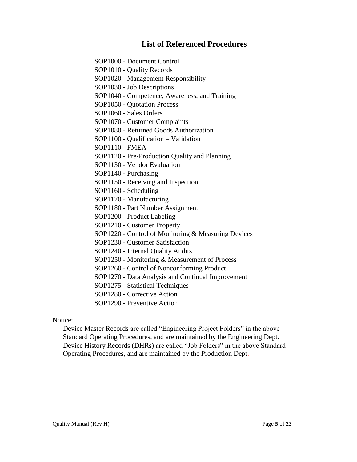#### **List of Referenced Procedures**

SOP1000 - Document Control SOP1010 - Quality Records SOP1020 - Management Responsibility SOP1030 - Job Descriptions SOP1040 - Competence, Awareness, and Training SOP1050 - Quotation Process SOP1060 - Sales Orders SOP1070 - Customer Complaints SOP1080 - Returned Goods Authorization SOP1100 - Qualification – Validation SOP1110 - FMEA SOP1120 - Pre-Production Quality and Planning SOP1130 - Vendor Evaluation SOP1140 - Purchasing SOP1150 - Receiving and Inspection SOP1160 - Scheduling SOP1170 - Manufacturing SOP1180 - Part Number Assignment SOP1200 - Product Labeling SOP1210 - Customer Property SOP1220 - Control of Monitoring & Measuring Devices SOP1230 - Customer Satisfaction SOP1240 - Internal Quality Audits SOP1250 - Monitoring & Measurement of Process SOP1260 - Control of Nonconforming Product SOP1270 - Data Analysis and Continual Improvement SOP1275 - Statistical Techniques SOP1280 - Corrective Action SOP1290 - Preventive Action

Notice:

<span id="page-4-0"></span>Device Master Records are called "Engineering Project Folders" in the above Standard Operating Procedures, and are maintained by the Engineering Dept. Device History Records (DHRs) are called "Job Folders" in the above Standard Operating Procedures, and are maintained by the Production Dept.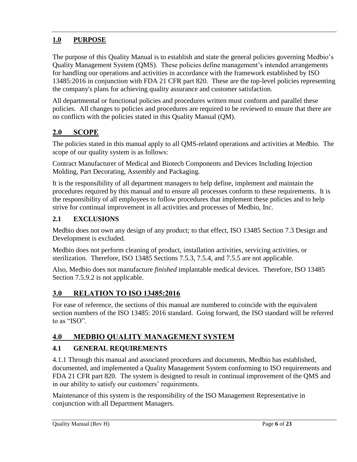## **1.0 PURPOSE**

The purpose of this Quality Manual is to establish and state the general policies governing Medbio's Quality Management System (QMS). These policies define management's intended arrangements for handling our operations and activities in accordance with the framework established by ISO 13485:2016 in conjunction with FDA 21 CFR part 820. These are the top-level policies representing the company's plans for achieving quality assurance and customer satisfaction.

All departmental or functional policies and procedures written must conform and parallel these policies. All changes to policies and procedures are required to be reviewed to ensure that there are no conflicts with the policies stated in this Quality Manual (QM).

## <span id="page-5-0"></span>**2.0 SCOPE**

The policies stated in this manual apply to all QMS-related operations and activities at Medbio. The scope of our quality system is as follows:

Contract Manufacturer of Medical and Biotech Components and Devices Including Injection Molding, Part Decorating, Assembly and Packaging.

It is the responsibility of all department managers to help define, implement and maintain the procedures required by this manual and to ensure all processes conform to these requirements. It is the responsibility of all employees to follow procedures that implement these policies and to help strive for continual improvement in all activities and processes of Medbio, Inc.

#### **2.1 EXCLUSIONS**

Medbio does not own any design of any product; to that effect, ISO 13485 Section 7.3 Design and Development is excluded.

Medbio does not perform cleaning of product, installation activities, servicing activities, or sterilization. Therefore, ISO 13485 Sections 7.5.3, 7.5.4, and 7.5.5 are not applicable.

Also, Medbio does not manufacture *finished* implantable medical devices. Therefore, ISO 13485 Section 7.5.9.2 is not applicable.

#### <span id="page-5-1"></span>**3.0 RELATION TO ISO 13485:2016**

<span id="page-5-2"></span>For ease of reference, the sections of this manual are numbered to coincide with the equivalent section numbers of the ISO 13485: 2016 standard. Going forward, the ISO standard will be referred to as "ISO".

## **4.0 MEDBIO QUALITY MANAGEMENT SYSTEM**

#### <span id="page-5-3"></span>**4.1 GENERAL REQUIREMENTS**

4.1.1 Through this manual and associated procedures and documents, Medbio has established, documented, and implemented a Quality Management System conforming to ISO requirements and FDA 21 CFR part 820. The system is designed to result in continual improvement of the QMS and in our ability to satisfy our customers' requirements.

Maintenance of this system is the responsibility of the ISO Management Representative in conjunction with all Department Managers.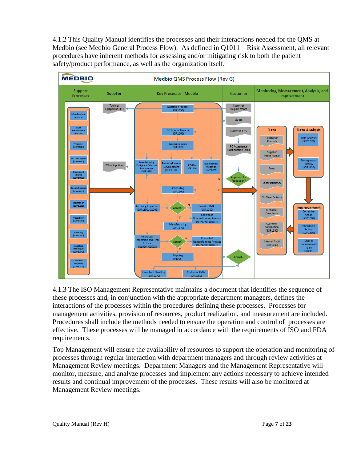4.1.2 This Quality Manual identifies the processes and their interactions needed for the QMS at Medbio (see Medbio General Process Flow). As defined in Q1011 – Risk Assessment, all relevant procedures have inherent methods for assessing and/or mitigating risk to both the patient safety/product performance, as well as the organization itself.



4.1.3 The ISO Management Representative maintains a document that identifies the sequence of these processes and, in conjunction with the appropriate department managers, defines the interactions of the processes within the procedures defining these processes. Processes for management activities, provision of resources, product realization, and measurement are included. Procedures shall include the methods needed to ensure the operation and control of processes are effective. These processes will be managed in accordance with the requirements of ISO and FDA requirements.

Top Management will ensure the availability of resources to support the operation and monitoring of processes through regular interaction with department managers and through review activities at Management Review meetings. Department Managers and the Management Representative will monitor, measure, and analyze processes and implement any actions necessary to achieve intended results and continual improvement of the processes. These results will also be monitored at Management Review meetings.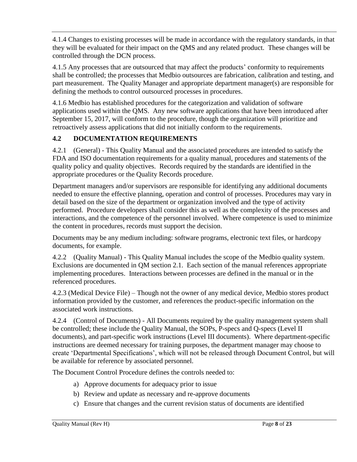4.1.4 Changes to existing processes will be made in accordance with the regulatory standards, in that they will be evaluated for their impact on the QMS and any related product. These changes will be controlled through the DCN process.

4.1.5 Any processes that are outsourced that may affect the products' conformity to requirements shall be controlled; the processes that Medbio outsources are fabrication, calibration and testing, and part measurement. The Quality Manager and appropriate department manager(s) are responsible for defining the methods to control outsourced processes in procedures.

4.1.6 Medbio has established procedures for the categorization and validation of software applications used within the QMS. Any new software applications that have been introduced after September 15, 2017, will conform to the procedure, though the organization will prioritize and retroactively assess applications that did not initially conform to the requirements.

#### <span id="page-7-0"></span>**4.2 DOCUMENTATION REQUIREMENTS**

<span id="page-7-1"></span>4.2.1 (General) - This Quality Manual and the associated procedures are intended to satisfy the FDA and ISO documentation requirements for a quality manual, procedures and statements of the quality policy and quality objectives. Records required by the standards are identified in the appropriate procedures or the Quality Records procedure.

Department managers and/or supervisors are responsible for identifying any additional documents needed to ensure the effective planning, operation and control of processes. Procedures may vary in detail based on the size of the department or organization involved and the type of activity performed. Procedure developers shall consider this as well as the complexity of the processes and interactions, and the competence of the personnel involved. Where competence is used to minimize the content in procedures, records must support the decision.

Documents may be any medium including: software programs, electronic text files, or hardcopy documents, for example.

<span id="page-7-2"></span>4.2.2 (Quality Manual) - This Quality Manual includes the scope of the Medbio quality system. Exclusions are documented in QM section 2.1. Each section of the manual references appropriate implementing procedures. Interactions between processes are defined in the manual or in the referenced procedures.

4.2.3 (Medical Device File) – Though not the owner of any medical device, Medbio stores product information provided by the customer, and references the product-specific information on the associated work instructions.

<span id="page-7-3"></span>4.2.4 (Control of Documents) - All Documents required by the quality management system shall be controlled; these include the Quality Manual, the SOPs, P-specs and Q-specs (Level II documents), and part-specific work instructions (Level III documents). Where department-specific instructions are deemed necessary for training purposes, the department manager may choose to create 'Departmental Specifications', which will not be released through Document Control, but will be available for reference by associated personnel.

The Document Control Procedure defines the controls needed to:

- a) Approve documents for adequacy prior to issue
- b) Review and update as necessary and re-approve documents
- c) Ensure that changes and the current revision status of documents are identified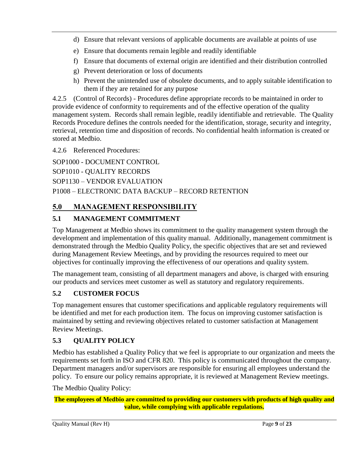- d) Ensure that relevant versions of applicable documents are available at points of use
- e) Ensure that documents remain legible and readily identifiable
- f) Ensure that documents of external origin are identified and their distribution controlled
- g) Prevent deterioration or loss of documents
- h) Prevent the unintended use of obsolete documents, and to apply suitable identification to them if they are retained for any purpose

<span id="page-8-0"></span>4.2.5 (Control of Records) - Procedures define appropriate records to be maintained in order to provide evidence of conformity to requirements and of the effective operation of the quality management system. Records shall remain legible, readily identifiable and retrievable. The Quality Records Procedure defines the controls needed for the identification, storage, security and integrity, retrieval, retention time and disposition of records. No confidential health information is created or stored at Medbio.

<span id="page-8-1"></span>4.2.6 Referenced Procedures:

SOP1000 - DOCUMENT CONTROL

SOP1010 - QUALITY RECORDS

SOP1130 – VENDOR EVALUATION

P1008 – ELECTRONIC DATA BACKUP – RECORD RETENTION

## <span id="page-8-2"></span>**5.0 MANAGEMENT RESPONSIBILITY**

## <span id="page-8-3"></span>**5.1 MANAGEMENT COMMITMENT**

Top Management at Medbio shows its commitment to the quality management system through the development and implementation of this quality manual. Additionally, management commitment is demonstrated through the Medbio Quality Policy, the specific objectives that are set and reviewed during Management Review Meetings, and by providing the resources required to meet our objectives for continually improving the effectiveness of our operations and quality system.

The management team, consisting of all department managers and above, is charged with ensuring our products and services meet customer as well as statutory and regulatory requirements.

## <span id="page-8-4"></span>**5.2 CUSTOMER FOCUS**

Top management ensures that customer specifications and applicable regulatory requirements will be identified and met for each production item. The focus on improving customer satisfaction is maintained by setting and reviewing objectives related to customer satisfaction at Management Review Meetings.

## <span id="page-8-5"></span>**5.3 QUALITY POLICY**

Medbio has established a Quality Policy that we feel is appropriate to our organization and meets the requirements set forth in ISO and CFR 820. This policy is communicated throughout the company. Department managers and/or supervisors are responsible for ensuring all employees understand the policy. To ensure our policy remains appropriate, it is reviewed at Management Review meetings.

The Medbio Quality Policy:

**The employees of Medbio are committed to providing our customers with products of high quality and value, while complying with applicable regulations.**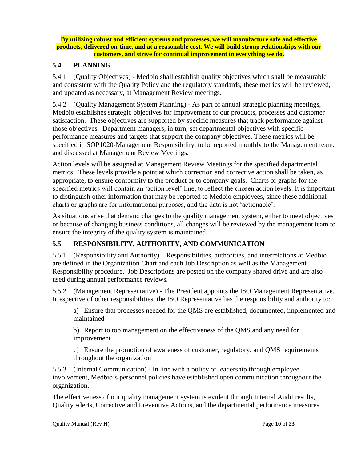**By utilizing robust and efficient systems and processes, we will manufacture safe and effective products, delivered on-time, and at a reasonable cost. We will build strong relationships with our customers, and strive for continual improvement in everything we do.**

#### <span id="page-9-0"></span>**5.4 PLANNING**

<span id="page-9-1"></span>5.4.1 (Quality Objectives) - Medbio shall establish quality objectives which shall be measurable and consistent with the Quality Policy and the regulatory standards; these metrics will be reviewed, and updated as necessary, at Management Review meetings.

<span id="page-9-2"></span>5.4.2 (Quality Management System Planning) - As part of annual strategic planning meetings, Medbio establishes strategic objectives for improvement of our products, processes and customer satisfaction. These objectives are supported by specific measures that track performance against those objectives. Department managers, in turn, set departmental objectives with specific performance measures and targets that support the company objectives. These metrics will be specified in SOP1020-Management Responsibility, to be reported monthly to the Management team, and discussed at Management Review Meetings.

Action levels will be assigned at Management Review Meetings for the specified departmental metrics. These levels provide a point at which correction and corrective action shall be taken, as appropriate, to ensure conformity to the product or to company goals. Charts or graphs for the specified metrics will contain an 'action level' line, to reflect the chosen action levels. It is important to distinguish other information that may be reported to Medbio employees, since these additional charts or graphs are for informational purposes, and the data is not 'actionable'.

As situations arise that demand changes to the quality management system, either to meet objectives or because of changing business conditions, all changes will be reviewed by the management team to ensure the integrity of the quality system is maintained.

#### <span id="page-9-3"></span>**5.5 RESPONSIBILITY, AUTHORITY, AND COMMUNICATION**

<span id="page-9-4"></span>5.5.1 (Responsibility and Authority) – Responsibilities, authorities, and interrelations at Medbio are defined in the Organization Chart and each Job Description as well as the Management Responsibility procedure. Job Descriptions are posted on the company shared drive and are also used during annual performance reviews.

<span id="page-9-5"></span>5.5.2 (Management Representative) - The President appoints the ISO Management Representative. Irrespective of other responsibilities, the ISO Representative has the responsibility and authority to:

a) Ensure that processes needed for the QMS are established, documented, implemented and maintained

b) Report to top management on the effectiveness of the QMS and any need for improvement

c) Ensure the promotion of awareness of customer, regulatory, and QMS requirements throughout the organization

<span id="page-9-6"></span>5.5.3 (Internal Communication) - In line with a policy of leadership through employee involvement, Medbio's personnel policies have established open communication throughout the organization.

The effectiveness of our quality management system is evident through Internal Audit results, Quality Alerts, Corrective and Preventive Actions, and the departmental performance measures.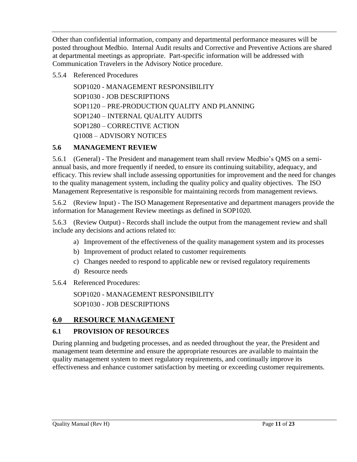Other than confidential information, company and departmental performance measures will be posted throughout Medbio. Internal Audit results and Corrective and Preventive Actions are shared at departmental meetings as appropriate. Part-specific information will be addressed with Communication Travelers in the Advisory Notice procedure.

#### <span id="page-10-0"></span>5.5.4 Referenced Procedures

SOP1020 - MANAGEMENT RESPONSIBILITY SOP1030 - JOB DESCRIPTIONS SOP1120 – PRE-PRODUCTION QUALITY AND PLANNING SOP1240 – INTERNAL QUALITY AUDITS SOP1280 – CORRECTIVE ACTION Q1008 – ADVISORY NOTICES

#### <span id="page-10-1"></span>**5.6 MANAGEMENT REVIEW**

<span id="page-10-2"></span>5.6.1 (General) - The President and management team shall review Medbio's QMS on a semiannual basis, and more frequently if needed, to ensure its continuing suitability, adequacy, and efficacy. This review shall include assessing opportunities for improvement and the need for changes to the quality management system, including the quality policy and quality objectives. The ISO Management Representative is responsible for maintaining records from management reviews.

<span id="page-10-3"></span>5.6.2 (Review Input) - The ISO Management Representative and department managers provide the information for Management Review meetings as defined in SOP1020.

<span id="page-10-4"></span>5.6.3 (Review Output) - Records shall include the output from the management review and shall include any decisions and actions related to:

- a) Improvement of the effectiveness of the quality management system and its processes
- b) Improvement of product related to customer requirements
- c) Changes needed to respond to applicable new or revised regulatory requirements
- d) Resource needs

#### <span id="page-10-5"></span>5.6.4 Referenced Procedures:

SOP1020 - MANAGEMENT RESPONSIBILITY SOP1030 - JOB DESCRIPTIONS

#### <span id="page-10-6"></span>**6.0 RESOURCE MANAGEMENT**

#### <span id="page-10-7"></span>**6.1 PROVISION OF RESOURCES**

During planning and budgeting processes, and as needed throughout the year, the President and management team determine and ensure the appropriate resources are available to maintain the quality management system to meet regulatory requirements, and continually improve its effectiveness and enhance customer satisfaction by meeting or exceeding customer requirements.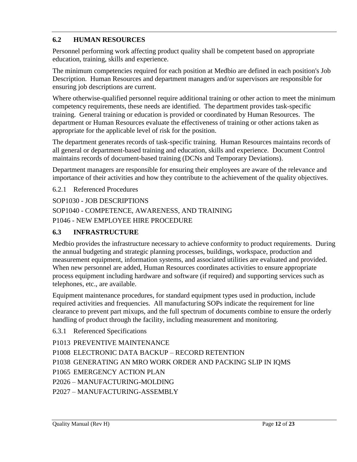### <span id="page-11-0"></span>**6.2 HUMAN RESOURCES**

Personnel performing work affecting product quality shall be competent based on appropriate education, training, skills and experience.

The minimum competencies required for each position at Medbio are defined in each position's Job Description. Human Resources and department managers and/or supervisors are responsible for ensuring job descriptions are current.

Where otherwise-qualified personnel require additional training or other action to meet the minimum competency requirements, these needs are identified. The department provides task-specific training. General training or education is provided or coordinated by Human Resources. The department or Human Resources evaluate the effectiveness of training or other actions taken as appropriate for the applicable level of risk for the position.

The department generates records of task-specific training. Human Resources maintains records of all general or department-based training and education, skills and experience. Document Control maintains records of document-based training (DCNs and Temporary Deviations).

Department managers are responsible for ensuring their employees are aware of the relevance and importance of their activities and how they contribute to the achievement of the quality objectives.

6.2.1 Referenced Procedures

SOP1030 - JOB DESCRIPTIONS

SOP1040 - COMPETENCE, AWARENESS, AND TRAINING P1046 - NEW EMPLOYEE HIRE PROCEDURE

### <span id="page-11-1"></span>**6.3 INFRASTRUCTURE**

Medbio provides the infrastructure necessary to achieve conformity to product requirements. During the annual budgeting and strategic planning processes, buildings, workspace, production and measurement equipment, information systems, and associated utilities are evaluated and provided. When new personnel are added, Human Resources coordinates activities to ensure appropriate process equipment including hardware and software (if required) and supporting services such as telephones, etc., are available.

Equipment maintenance procedures, for standard equipment types used in production, include required activities and frequencies. All manufacturing SOPs indicate the requirement for line clearance to prevent part mixups, and the full spectrum of documents combine to ensure the orderly handling of product through the facility, including measurement and monitoring.

6.3.1 Referenced Specifications

P1013 PREVENTIVE MAINTENANCE P1008 ELECTRONIC DATA BACKUP – RECORD RETENTION P1038 GENERATING AN MRO WORK ORDER AND PACKING SLIP IN IQMS P1065 EMERGENCY ACTION PLAN P2026 – MANUFACTURING-MOLDING P2027 – MANUFACTURING-ASSEMBLY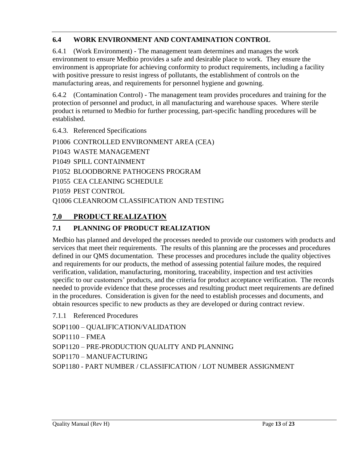## <span id="page-12-0"></span>**6.4 WORK ENVIRONMENT AND CONTAMINATION CONTROL**

6.4.1 (Work Environment) - The management team determines and manages the work environment to ensure Medbio provides a safe and desirable place to work. They ensure the environment is appropriate for achieving conformity to product requirements, including a facility with positive pressure to resist ingress of pollutants, the establishment of controls on the manufacturing areas, and requirements for personnel hygiene and gowning.

6.4.2 (Contamination Control) - The management team provides procedures and training for the protection of personnel and product, in all manufacturing and warehouse spaces. Where sterile product is returned to Medbio for further processing, part-specific handling procedures will be established.

6.4.3. Referenced Specifications

P1006 CONTROLLED ENVIRONMENT AREA (CEA)

P1043 WASTE MANAGEMENT

P1049 SPILL CONTAINMENT

P1052 BLOODBORNE PATHOGENS PROGRAM

P1055 CEA CLEANING SCHEDULE

P1059 PEST CONTROL

Q1006 CLEANROOM CLASSIFICATION AND TESTING

## <span id="page-12-1"></span>**7.0 PRODUCT REALIZATION**

#### <span id="page-12-2"></span>**7.1 PLANNING OF PRODUCT REALIZATION**

Medbio has planned and developed the processes needed to provide our customers with products and services that meet their requirements. The results of this planning are the processes and procedures defined in our QMS documentation. These processes and procedures include the quality objectives and requirements for our products, the method of assessing potential failure modes, the required verification, validation, manufacturing, monitoring, traceability, inspection and test activities specific to our customers' products, and the criteria for product acceptance verification. The records needed to provide evidence that these processes and resulting product meet requirements are defined in the procedures. Consideration is given for the need to establish processes and documents, and obtain resources specific to new products as they are developed or during contract review.

7.1.1 Referenced Procedures

SOP1100 – QUALIFICATION/VALIDATION

SOP1110 – FMEA

SOP1120 – PRE-PRODUCTION QUALITY AND PLANNING

SOP1170 – MANUFACTURING

SOP1180 - PART NUMBER / CLASSIFICATION / LOT NUMBER ASSIGNMENT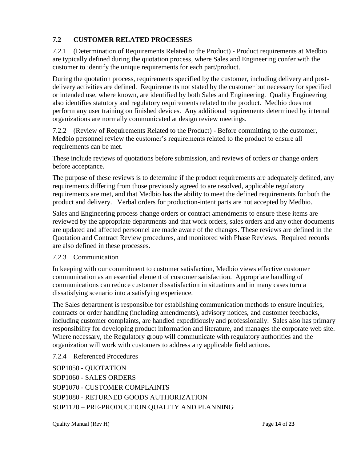## <span id="page-13-1"></span>**7.2 CUSTOMER RELATED PROCESSES**

<span id="page-13-0"></span>7.2.1 (Determination of Requirements Related to the Product) - Product requirements at Medbio are typically defined during the quotation process, where Sales and Engineering confer with the customer to identify the unique requirements for each part/product.

During the quotation process, requirements specified by the customer, including delivery and postdelivery activities are defined. Requirements not stated by the customer but necessary for specified or intended use, where known, are identified by both Sales and Engineering. Quality Engineering also identifies statutory and regulatory requirements related to the product. Medbio does not perform any user training on finished devices. Any additional requirements determined by internal organizations are normally communicated at design review meetings.

<span id="page-13-2"></span>7.2.2 (Review of Requirements Related to the Product) - Before committing to the customer, Medbio personnel review the customer's requirements related to the product to ensure all requirements can be met.

These include reviews of quotations before submission, and reviews of orders or change orders before acceptance.

The purpose of these reviews is to determine if the product requirements are adequately defined, any requirements differing from those previously agreed to are resolved, applicable regulatory requirements are met, and that Medbio has the ability to meet the defined requirements for both the product and delivery. Verbal orders for production-intent parts are not accepted by Medbio.

Sales and Engineering process change orders or contract amendments to ensure these items are reviewed by the appropriate departments and that work orders, sales orders and any other documents are updated and affected personnel are made aware of the changes. These reviews are defined in the Quotation and Contract Review procedures, and monitored with Phase Reviews. Required records are also defined in these processes.

#### <span id="page-13-3"></span>7.2.3 Communication

In keeping with our commitment to customer satisfaction, Medbio views effective customer communication as an essential element of customer satisfaction. Appropriate handling of communications can reduce customer dissatisfaction in situations and in many cases turn a dissatisfying scenario into a satisfying experience.

The Sales department is responsible for establishing communication methods to ensure inquiries, contracts or order handling (including amendments), advisory notices, and customer feedbacks, including customer complaints, are handled expeditiously and professionally. Sales also has primary responsibility for developing product information and literature, and manages the corporate web site. Where necessary, the Regulatory group will communicate with regulatory authorities and the organization will work with customers to address any applicable field actions.

<span id="page-13-4"></span>7.2.4 Referenced Procedures

SOP1050 - QUOTATION SOP1060 - SALES ORDERS SOP1070 - CUSTOMER COMPLAINTS SOP1080 - RETURNED GOODS AUTHORIZATION SOP1120 – PRE-PRODUCTION QUALITY AND PLANNING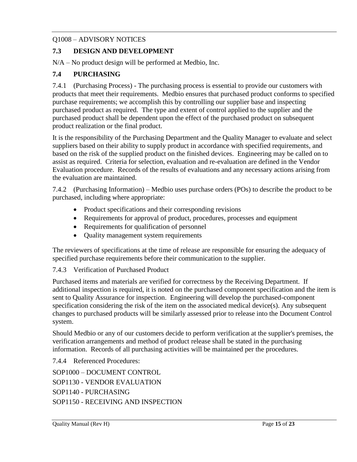#### Q1008 – ADVISORY NOTICES

#### <span id="page-14-0"></span>**7.3 DESIGN AND DEVELOPMENT**

N/A – No product design will be performed at Medbio, Inc.

#### <span id="page-14-1"></span>**7.4 PURCHASING**

<span id="page-14-2"></span>7.4.1 (Purchasing Process) - The purchasing process is essential to provide our customers with products that meet their requirements. Medbio ensures that purchased product conforms to specified purchase requirements; we accomplish this by controlling our supplier base and inspecting purchased product as required. The type and extent of control applied to the supplier and the purchased product shall be dependent upon the effect of the purchased product on subsequent product realization or the final product.

It is the responsibility of the Purchasing Department and the Quality Manager to evaluate and select suppliers based on their ability to supply product in accordance with specified requirements, and based on the risk of the supplied product on the finished devices. Engineering may be called on to assist as required. Criteria for selection, evaluation and re-evaluation are defined in the Vendor Evaluation procedure. Records of the results of evaluations and any necessary actions arising from the evaluation are maintained.

<span id="page-14-3"></span>7.4.2 (Purchasing Information) – Medbio uses purchase orders (POs) to describe the product to be purchased, including where appropriate:

- Product specifications and their corresponding revisions
- Requirements for approval of product, procedures, processes and equipment
- Requirements for qualification of personnel
- Quality management system requirements

The reviewers of specifications at the time of release are responsible for ensuring the adequacy of specified purchase requirements before their communication to the supplier.

<span id="page-14-4"></span>7.4.3 Verification of Purchased Product

Purchased items and materials are verified for correctness by the Receiving Department. If additional inspection is required, it is noted on the purchased component specification and the item is sent to Quality Assurance for inspection. Engineering will develop the purchased-component specification considering the risk of the item on the associated medical device(s). Any subsequent changes to purchased products will be similarly assessed prior to release into the Document Control system.

Should Medbio or any of our customers decide to perform verification at the supplier's premises, the verification arrangements and method of product release shall be stated in the purchasing information. Records of all purchasing activities will be maintained per the procedures.

<span id="page-14-5"></span>7.4.4 Referenced Procedures:

SOP1000 – DOCUMENT CONTROL SOP1130 - VENDOR EVALUATION SOP1140 - PURCHASING SOP1150 - RECEIVING AND INSPECTION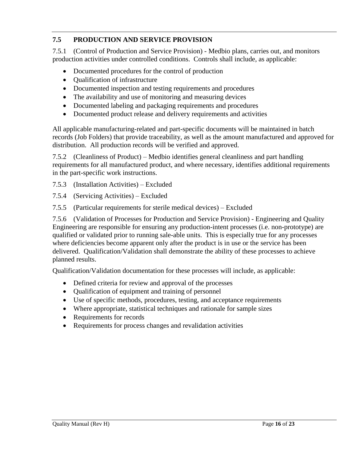## <span id="page-15-0"></span>**7.5 PRODUCTION AND SERVICE PROVISION**

<span id="page-15-1"></span>7.5.1 (Control of Production and Service Provision) - Medbio plans, carries out, and monitors production activities under controlled conditions. Controls shall include, as applicable:

- Documented procedures for the control of production
- Qualification of infrastructure
- Documented inspection and testing requirements and procedures
- The availability and use of monitoring and measuring devices
- Documented labeling and packaging requirements and procedures
- Documented product release and delivery requirements and activities

All applicable manufacturing-related and part-specific documents will be maintained in batch records (Job Folders) that provide traceability, as well as the amount manufactured and approved for distribution. All production records will be verified and approved.

7.5.2 (Cleanliness of Product) – Medbio identifies general cleanliness and part handling requirements for all manufactured product, and where necessary, identifies additional requirements in the part-specific work instructions.

- 7.5.3 (Installation Activities) Excluded
- 7.5.4 (Servicing Activities) Excluded
- 7.5.5 (Particular requirements for sterile medical devices) Excluded

<span id="page-15-2"></span>7.5.6 (Validation of Processes for Production and Service Provision) - Engineering and Quality Engineering are responsible for ensuring any production-intent processes (i.e. non-prototype) are qualified or validated prior to running sale-able units. This is especially true for any processes where deficiencies become apparent only after the product is in use or the service has been delivered. Qualification/Validation shall demonstrate the ability of these processes to achieve planned results.

Qualification/Validation documentation for these processes will include, as applicable:

- Defined criteria for review and approval of the processes
- Qualification of equipment and training of personnel
- Use of specific methods, procedures, testing, and acceptance requirements
- Where appropriate, statistical techniques and rationale for sample sizes
- Requirements for records
- Requirements for process changes and revalidation activities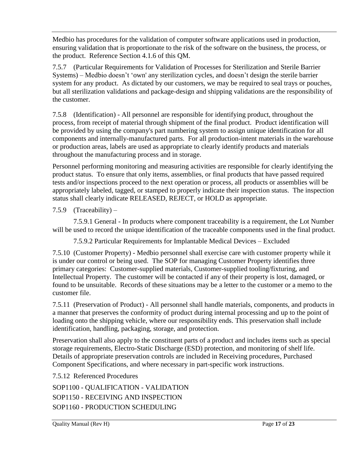<span id="page-16-0"></span>Medbio has procedures for the validation of computer software applications used in production, ensuring validation that is proportionate to the risk of the software on the business, the process, or the product. Reference Section 4.1.6 of this QM.

7.5.7 (Particular Requirements for Validation of Processes for Sterilization and Sterile Barrier Systems) – Medbio doesn't 'own' any sterilization cycles, and doesn't design the sterile barrier system for any product. As dictated by our customers, we may be required to seal trays or pouches, but all sterilization validations and package-design and shipping validations are the responsibility of the customer.

7.5.8 (Identification) - All personnel are responsible for identifying product, throughout the process, from receipt of material through shipment of the final product. Product identification will be provided by using the company's part numbering system to assign unique identification for all components and internally-manufactured parts. For all production-intent materials in the warehouse or production areas, labels are used as appropriate to clearly identify products and materials throughout the manufacturing process and in storage.

Personnel performing monitoring and measuring activities are responsible for clearly identifying the product status. To ensure that only items, assemblies, or final products that have passed required tests and/or inspections proceed to the next operation or process, all products or assemblies will be appropriately labeled, tagged, or stamped to properly indicate their inspection status. The inspection status shall clearly indicate RELEASED, REJECT, or HOLD as appropriate.

7.5.9  $(Traceability)$  –

7.5.9.1 General - In products where component traceability is a requirement, the Lot Number will be used to record the unique identification of the traceable components used in the final product.

7.5.9.2 Particular Requirements for Implantable Medical Devices – Excluded

<span id="page-16-1"></span>7.5.10 (Customer Property) - Medbio personnel shall exercise care with customer property while it is under our control or being used. The SOP for managing Customer Property identifies three primary categories: Customer-supplied materials, Customer-supplied tooling/fixturing, and Intellectual Property. The customer will be contacted if any of their property is lost, damaged, or found to be unsuitable. Records of these situations may be a letter to the customer or a memo to the customer file.

<span id="page-16-2"></span>7.5.11 (Preservation of Product) - All personnel shall handle materials, components, and products in a manner that preserves the conformity of product during internal processing and up to the point of loading onto the shipping vehicle, where our responsibility ends. This preservation shall include identification, handling, packaging, storage, and protection.

Preservation shall also apply to the constituent parts of a product and includes items such as special storage requirements, Electro-Static Discharge (ESD) protection, and monitoring of shelf life. Details of appropriate preservation controls are included in Receiving procedures, Purchased Component Specifications, and where necessary in part-specific work instructions.

<span id="page-16-3"></span>7.5.12 Referenced Procedures

SOP1100 - QUALIFICATION - VALIDATION SOP1150 - RECEIVING AND INSPECTION SOP1160 - PRODUCTION SCHEDULING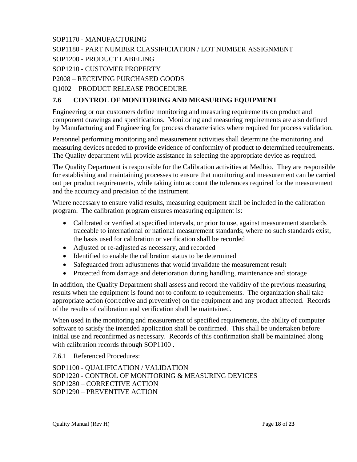SOP1170 - MANUFACTURING

SOP1180 - PART NUMBER CLASSIFICIATION / LOT NUMBER ASSIGNMENT

SOP1200 - PRODUCT LABELING

SOP1210 - CUSTOMER PROPERTY

P2008 – RECEIVING PURCHASED GOODS

Q1002 – PRODUCT RELEASE PROCEDURE

### <span id="page-17-0"></span>**7.6 CONTROL OF MONITORING AND MEASURING EQUIPMENT**

Engineering or our customers define monitoring and measuring requirements on product and component drawings and specifications. Monitoring and measuring requirements are also defined by Manufacturing and Engineering for process characteristics where required for process validation.

Personnel performing monitoring and measurement activities shall determine the monitoring and measuring devices needed to provide evidence of conformity of product to determined requirements. The Quality department will provide assistance in selecting the appropriate device as required.

The Quality Department is responsible for the Calibration activities at Medbio. They are responsible for establishing and maintaining processes to ensure that monitoring and measurement can be carried out per product requirements, while taking into account the tolerances required for the measurement and the accuracy and precision of the instrument.

Where necessary to ensure valid results, measuring equipment shall be included in the calibration program. The calibration program ensures measuring equipment is:

- Calibrated or verified at specified intervals, or prior to use, against measurement standards traceable to international or national measurement standards; where no such standards exist, the basis used for calibration or verification shall be recorded
- Adjusted or re-adjusted as necessary, and recorded
- Identified to enable the calibration status to be determined
- Safeguarded from adjustments that would invalidate the measurement result
- Protected from damage and deterioration during handling, maintenance and storage

In addition, the Quality Department shall assess and record the validity of the previous measuring results when the equipment is found not to conform to requirements. The organization shall take appropriate action (corrective and preventive) on the equipment and any product affected. Records of the results of calibration and verification shall be maintained.

When used in the monitoring and measurement of specified requirements, the ability of computer software to satisfy the intended application shall be confirmed. This shall be undertaken before initial use and reconfirmed as necessary. Records of this confirmation shall be maintained along with calibration records through SOP1100 .

<span id="page-17-1"></span>7.6.1 Referenced Procedures:

SOP1100 - QUALIFICATION / VALIDATION SOP1220 - CONTROL OF MONITORING & MEASURING DEVICES SOP1280 – CORRECTIVE ACTION SOP1290 – PREVENTIVE ACTION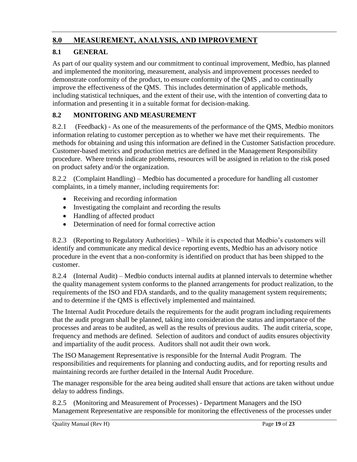## <span id="page-18-0"></span>**8.0 MEASUREMENT, ANALYSIS, AND IMPROVEMENT**

## <span id="page-18-1"></span>**8.1 GENERAL**

As part of our quality system and our commitment to continual improvement, Medbio, has planned and implemented the monitoring, measurement, analysis and improvement processes needed to demonstrate conformity of the product, to ensure conformity of the QMS , and to continually improve the effectiveness of the QMS. This includes determination of applicable methods, including statistical techniques, and the extent of their use, with the intention of converting data to information and presenting it in a suitable format for decision-making.

## <span id="page-18-2"></span>**8.2 MONITORING AND MEASUREMENT**

<span id="page-18-3"></span>8.2.1 (Feedback) - As one of the measurements of the performance of the QMS, Medbio monitors information relating to customer perception as to whether we have met their requirements. The methods for obtaining and using this information are defined in the Customer Satisfaction procedure. Customer-based metrics and production metrics are defined in the Management Responsibility procedure. Where trends indicate problems, resources will be assigned in relation to the risk posed on product safety and/or the organization.

8.2.2 (Complaint Handling) – Medbio has documented a procedure for handling all customer complaints, in a timely manner, including requirements for:

- Receiving and recording information
- Investigating the complaint and recording the results
- Handling of affected product
- Determination of need for formal corrective action

8.2.3 (Reporting to Regulatory Authorities) – While it is expected that Medbio's customers will identify and communicate any medical device reporting events, Medbio has an advisory notice procedure in the event that a non-conformity is identified on product that has been shipped to the customer.

<span id="page-18-4"></span>8.2.4 (Internal Audit) – Medbio conducts internal audits at planned intervals to determine whether the quality management system conforms to the planned arrangements for product realization, to the requirements of the ISO and FDA standards, and to the quality management system requirements; and to determine if the QMS is effectively implemented and maintained.

The Internal Audit Procedure details the requirements for the audit program including requirements that the audit program shall be planned, taking into consideration the status and importance of the processes and areas to be audited, as well as the results of previous audits. The audit criteria, scope, frequency and methods are defined. Selection of auditors and conduct of audits ensures objectivity and impartiality of the audit process. Auditors shall not audit their own work.

The ISO Management Representative is responsible for the Internal Audit Program. The responsibilities and requirements for planning and conducting audits, and for reporting results and maintaining records are further detailed in the Internal Audit Procedure.

The manager responsible for the area being audited shall ensure that actions are taken without undue delay to address findings.

<span id="page-18-5"></span>8.2.5 (Monitoring and Measurement of Processes) - Department Managers and the ISO Management Representative are responsible for monitoring the effectiveness of the processes under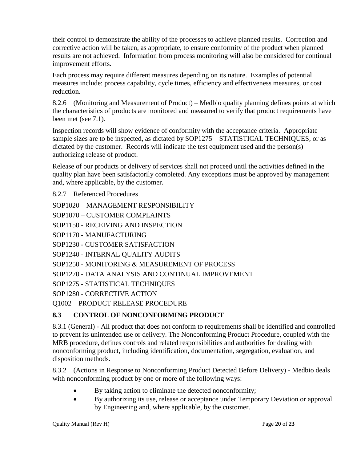their control to demonstrate the ability of the processes to achieve planned results. Correction and corrective action will be taken, as appropriate, to ensure conformity of the product when planned results are not achieved. Information from process monitoring will also be considered for continual improvement efforts.

Each process may require different measures depending on its nature. Examples of potential measures include: process capability, cycle times, efficiency and effectiveness measures, or cost reduction.

<span id="page-19-0"></span>8.2.6 (Monitoring and Measurement of Product) – Medbio quality planning defines points at which the characteristics of products are monitored and measured to verify that product requirements have been met (see 7.1).

Inspection records will show evidence of conformity with the acceptance criteria. Appropriate sample sizes are to be inspected, as dictated by SOP1275 – STATISTICAL TECHNIQUES, or as dictated by the customer. Records will indicate the test equipment used and the person(s) authorizing release of product.

Release of our products or delivery of services shall not proceed until the activities defined in the quality plan have been satisfactorily completed. Any exceptions must be approved by management and, where applicable, by the customer.

<span id="page-19-1"></span>8.2.7 Referenced Procedures

```
SOP1020 – MANAGEMENT RESPONSIBILITY
SOP1070 – CUSTOMER COMPLAINTS
SOP1150 - RECEIVING AND INSPECTION 
SOP1170 - MANUFACTURING 
SOP1230 - CUSTOMER SATISFACTION
SOP1240 - INTERNAL QUALITY AUDITS 
SOP1250 - MONITORING & MEASUREMENT OF PROCESS
SOP1270 - DATA ANALYSIS AND CONTINUAL IMPROVEMENT
SOP1275 - STATISTICAL TECHNIQUES
SOP1280 - CORRECTIVE ACTION
Q1002 – PRODUCT RELEASE PROCEDURE
```
#### <span id="page-19-2"></span>**8.3 CONTROL OF NONCONFORMING PRODUCT**

8.3.1 (General) - All product that does not conform to requirements shall be identified and controlled to prevent its unintended use or delivery. The Nonconforming Product Procedure, coupled with the MRB procedure, defines controls and related responsibilities and authorities for dealing with nonconforming product, including identification, documentation, segregation, evaluation, and disposition methods.

8.3.2 (Actions in Response to Nonconforming Product Detected Before Delivery) - Medbio deals with nonconforming product by one or more of the following ways:

- By taking action to eliminate the detected nonconformity;
- By authorizing its use, release or acceptance under Temporary Deviation or approval by Engineering and, where applicable, by the customer.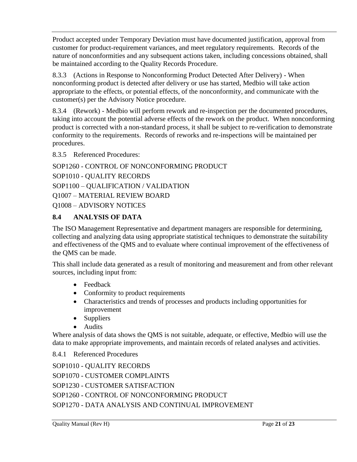Product accepted under Temporary Deviation must have documented justification, approval from customer for product-requirement variances, and meet regulatory requirements. Records of the nature of nonconformities and any subsequent actions taken, including concessions obtained, shall be maintained according to the Quality Records Procedure.

8.3.3 (Actions in Response to Nonconforming Product Detected After Delivery) - When nonconforming product is detected after delivery or use has started, Medbio will take action appropriate to the effects, or potential effects, of the nonconformity, and communicate with the customer(s) per the Advisory Notice procedure.

8.3.4 (Rework) - Medbio will perform rework and re-inspection per the documented procedures, taking into account the potential adverse effects of the rework on the product. When nonconforming product is corrected with a non-standard process, it shall be subject to re-verification to demonstrate conformity to the requirements. Records of reworks and re-inspections will be maintained per procedures.

<span id="page-20-0"></span>8.3.5 Referenced Procedures:

```
SOP1260 - CONTROL OF NONCONFORMING PRODUCT 
SOP1010 - QUALITY RECORDS 
SOP1100 – QUALIFICATION / VALIDATION
Q1007 – MATERIAL REVIEW BOARD
Q1008 – ADVISORY NOTICES
```
#### <span id="page-20-1"></span>**8.4 ANALYSIS OF DATA**

The ISO Management Representative and department managers are responsible for determining, collecting and analyzing data using appropriate statistical techniques to demonstrate the suitability and effectiveness of the QMS and to evaluate where continual improvement of the effectiveness of the QMS can be made.

This shall include data generated as a result of monitoring and measurement and from other relevant sources, including input from:

- Feedback
- Conformity to product requirements
- Characteristics and trends of processes and products including opportunities for improvement
- Suppliers
- Audits

<span id="page-20-2"></span>Where analysis of data shows the QMS is not suitable, adequate, or effective, Medbio will use the data to make appropriate improvements, and maintain records of related analyses and activities.

8.4.1 Referenced Procedures

SOP1010 - QUALITY RECORDS SOP1070 - CUSTOMER COMPLAINTS SOP1230 - CUSTOMER SATISFACTION SOP1260 - CONTROL OF NONCONFORMING PRODUCT SOP1270 - DATA ANALYSIS AND CONTINUAL IMPROVEMENT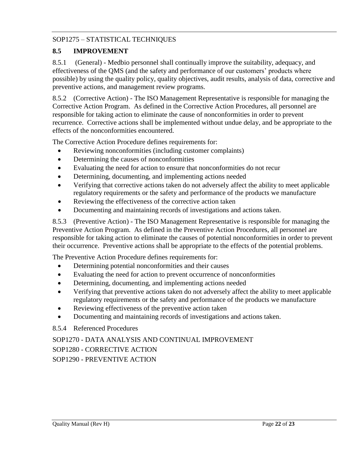#### SOP1275 – STATISTICAL TECHNIQUES

#### <span id="page-21-0"></span>**8.5 IMPROVEMENT**

<span id="page-21-1"></span>8.5.1 (General) - Medbio personnel shall continually improve the suitability, adequacy, and effectiveness of the QMS (and the safety and performance of our customers' products where possible) by using the quality policy, quality objectives, audit results, analysis of data, corrective and preventive actions, and management review programs.

<span id="page-21-2"></span>8.5.2 (Corrective Action) - The ISO Management Representative is responsible for managing the Corrective Action Program. As defined in the Corrective Action Procedures, all personnel are responsible for taking action to eliminate the cause of nonconformities in order to prevent recurrence. Corrective actions shall be implemented without undue delay, and be appropriate to the effects of the nonconformities encountered.

The Corrective Action Procedure defines requirements for:

- Reviewing nonconformities (including customer complaints)
- Determining the causes of nonconformities
- Evaluating the need for action to ensure that nonconformities do not recur
- Determining, documenting, and implementing actions needed
- Verifying that corrective actions taken do not adversely affect the ability to meet applicable regulatory requirements or the safety and performance of the products we manufacture
- Reviewing the effectiveness of the corrective action taken
- Documenting and maintaining records of investigations and actions taken.

<span id="page-21-3"></span>8.5.3 (Preventive Action) - The ISO Management Representative is responsible for managing the Preventive Action Program. As defined in the Preventive Action Procedures, all personnel are responsible for taking action to eliminate the causes of potential nonconformities in order to prevent their occurrence. Preventive actions shall be appropriate to the effects of the potential problems.

The Preventive Action Procedure defines requirements for:

- Determining potential nonconformities and their causes
- Evaluating the need for action to prevent occurrence of nonconformities
- Determining, documenting, and implementing actions needed
- Verifying that preventive actions taken do not adversely affect the ability to meet applicable regulatory requirements or the safety and performance of the products we manufacture
- Reviewing effectiveness of the preventive action taken
- Documenting and maintaining records of investigations and actions taken.

#### 8.5.4 Referenced Procedures

## SOP1270 - DATA ANALYSIS AND CONTINUAL IMPROVEMENT

SOP1280 - CORRECTIVE ACTION

SOP1290 - PREVENTIVE ACTION